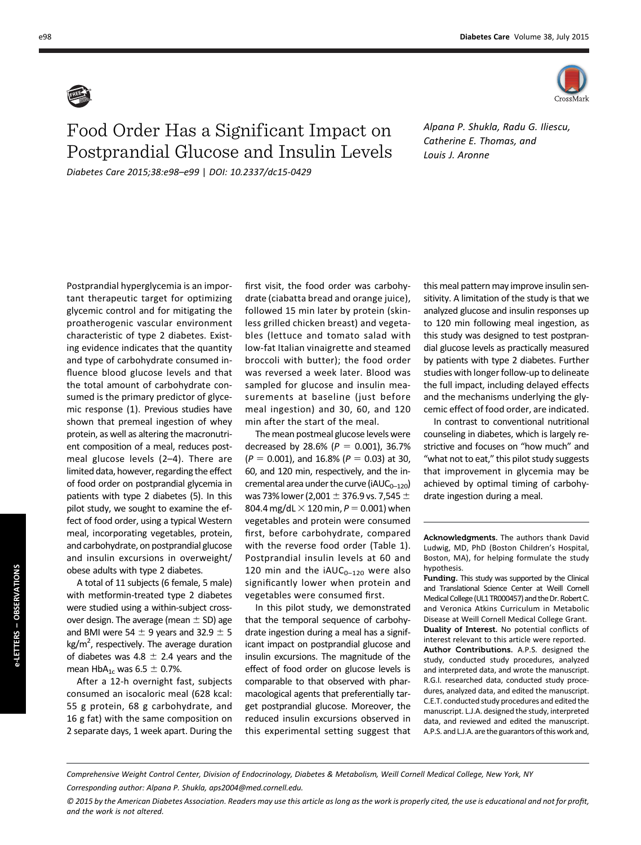

## Food Order Has a Significant Impact on Postprandial Glucose and Insulin Levels Diabetes Care 2015;38:e98–e99 | DOI: 10.2337/dc15-0429

Alpana P. Shukla, Radu G. Iliescu, Catherine E. Thomas, and Louis J. Aronne

Postprandial hyperglycemia is an important therapeutic target for optimizing glycemic control and for mitigating the proatherogenic vascular environment characteristic of type 2 diabetes. Existing evidence indicates that the quantity and type of carbohydrate consumed influence blood glucose levels and that the total amount of carbohydrate consumed is the primary predictor of glycemic response (1). Previous studies have shown that premeal ingestion of whey protein, as well as altering the macronutrient composition of a meal, reduces postmeal glucose levels (2–4). There are limited data, however, regarding the effect of food order on postprandial glycemia in patients with type 2 diabetes (5). In this pilot study, we sought to examine the effect of food order, using a typical Western meal, incorporating vegetables, protein, and carbohydrate, on postprandial glucose and insulin excursions in overweight/ obese adults with type 2 diabetes.

A total of 11 subjects (6 female, 5 male) with metformin-treated type 2 diabetes were studied using a within-subject crossover design. The average (mean  $\pm$  SD) age and BMI were 54  $\pm$  9 years and 32.9  $\pm$  5  $\text{kg/m}^2$ , respectively. The average duration of diabetes was 4.8  $\pm$  2.4 years and the mean  $HbA_{1c}$  was 6.5  $\pm$  0.7%.

After a 12-h overnight fast, subjects consumed an isocaloric meal (628 kcal: 55 g protein, 68 g carbohydrate, and 16 g fat) with the same composition on 2 separate days, 1 week apart. During the

first visit, the food order was carbohydrate (ciabatta bread and orange juice), followed 15 min later by protein (skinless grilled chicken breast) and vegetables (lettuce and tomato salad with low-fat Italian vinaigrette and steamed broccoli with butter); the food order was reversed a week later. Blood was sampled for glucose and insulin measurements at baseline (just before meal ingestion) and 30, 60, and 120 min after the start of the meal.

The mean postmeal glucose levels were decreased by 28.6% ( $P = 0.001$ ), 36.7%  $(P = 0.001)$ , and 16.8%  $(P = 0.03)$  at 30, 60, and 120 min, respectively, and the incremental area under the curve ( $iAUC_{0-120}$ ) was 73% lower (2,001  $\pm$  376.9 vs. 7,545  $\pm$ 804.4 mg/dL  $\times$  120 min, P = 0.001) when vegetables and protein were consumed first, before carbohydrate, compared with the reverse food order (Table 1). Postprandial insulin levels at 60 and 120 min and the  $iAUC_{0-120}$  were also significantly lower when protein and vegetables were consumed first.

In this pilot study, we demonstrated that the temporal sequence of carbohydrate ingestion during a meal has a significant impact on postprandial glucose and insulin excursions. The magnitude of the effect of food order on glucose levels is comparable to that observed with pharmacological agents that preferentially target postprandial glucose. Moreover, the reduced insulin excursions observed in this experimental setting suggest that

this meal pattern may improve insulin sensitivity. A limitation of the study is that we analyzed glucose and insulin responses up to 120 min following meal ingestion, as this study was designed to test postprandial glucose levels as practically measured by patients with type 2 diabetes. Further studies with longer follow-up to delineate the full impact, including delayed effects and the mechanisms underlying the glycemic effect of food order, are indicated.

In contrast to conventional nutritional counseling in diabetes, which is largely restrictive and focuses on "how much" and "what not to eat," this pilot study suggests that improvement in glycemia may be achieved by optimal timing of carbohydrate ingestion during a meal.

Acknowledgments. The authors thank David Ludwig, MD, PhD (Boston Children's Hospital, Boston, MA), for helping formulate the study hypothesis.

Funding. This study was supported by the Clinical and Translational Science Center at Weill Cornell Medical College (UL1 TR000457) and the Dr. Robert C. and Veronica Atkins Curriculum in Metabolic Disease at Weill Cornell Medical College Grant. Duality of Interest. No potential conflicts of interest relevant to this article were reported. Author Contributions. A.P.S. designed the study, conducted study procedures, analyzed and interpreted data, and wrote the manuscript. R.G.I. researched data, conducted study procedures, analyzed data, and edited the manuscript. C.E.T. conducted study procedures and edited the manuscript. L.J.A. designed the study, interpreted data, and reviewed and edited the manuscript. A.P.S. and L.J.A. are the guarantors of this work and,

Comprehensive Weight Control Center, Division of Endocrinology, Diabetes & Metabolism, Weill Cornell Medical College, New York, NY

Corresponding author: Alpana P. Shukla, [aps2004@med.cornell.edu](mailto:aps2004@med.cornell.edu).

<sup>© 2015</sup> by the American Diabetes Association. Readers may use this article as long as the work is properly cited, the use is educational and not for profit, and the work is not altered.